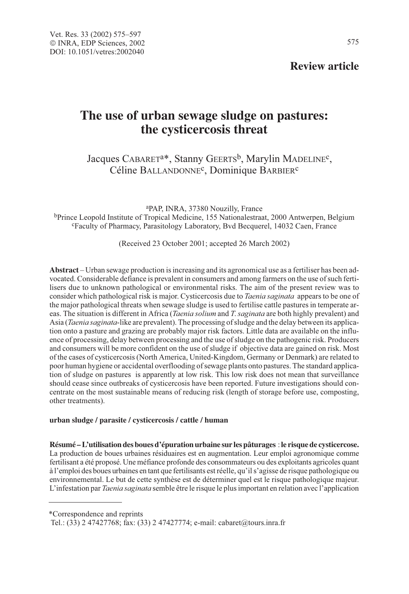575

# **The use of urban sewage sludge on pastures: the cysticercosis threat**

Jacques CABARET<sup>a\*</sup>, Stanny GEERTS<sup>b</sup>, Marylin MADELINE<sup>c</sup>, Céline BALLANDONNEc, Dominique BARBIERc

aPAP, INRA, 37380 Nouzilly, France bPrince Leopold Institute of Tropical Medicine, 155 Nationalestraat, 2000 Antwerpen, Belgium <sup>c</sup>Faculty of Pharmacy, Parasitology Laboratory, Bvd Becquerel, 14032 Caen, France

(Received 23 October 2001; accepted 26 March 2002)

**Abstract** – Urban sewage production is increasing and its agronomical use as a fertiliser has been advocated. Considerable defiance is prevalent in consumers and among farmers on the use of such fertilisers due to unknown pathological or environmental risks. The aim of the present review was to consider which pathological risk is major. Cysticercosis due to *Taenia saginata* appears to be one of the major pathological threats when sewage sludge is used to fertilise cattle pastures in temperate areas. The situation is different in Africa (*Taenia solium* and *T. saginata* are both highly prevalent) and Asia (Taenia saginata-like are prevalent). The processing of sludge and the delay between its application onto a pasture and grazing are probably major risk factors. Little data are available on the influence of processing, delay between processing and the use of sludge on the pathogenic risk. Producers and consumers will be more confident on the use of sludge if objective data are gained on risk. Most of the cases of cysticercosis (North America, United-Kingdom, Germany or Denmark) are related to poor human hygiene or accidental overflooding of sewage plants onto pastures. The standard application of sludge on pastures is apparently at low risk. This low risk does not mean that surveillance should cease since outbreaks of cysticercosis have been reported. Future investigations should concentrate on the most sustainable means of reducing risk (length of storage before use, composting, other treatments).

#### **urban sludge / parasite / cysticercosis / cattle / human**

**Résumé – L'utilisation des boues d'épuration urbaine sur les pâturages** : **le risque de cysticercose.** La production de boues urbaines résiduaires est en augmentation. Leur emploi agronomique comme fertilisant a été proposé. Une méfiance profonde des consommateurs ou des exploitants agricoles quant à l'emploi des boues urbaines en tant que fertilisants est réelle, qu'il s'agisse de risque pathologique ou environnemental. Le but de cette synthèse est de déterminer quel est le risque pathologique majeur. L'infestation par *Taenia saginata* semble être le risque le plus important en relation avec l'application

\*Correspondence and reprints

Tel.: (33) 2 47427768; fax: (33) 2 47427774; e-mail: cabaret@tours.inra.fr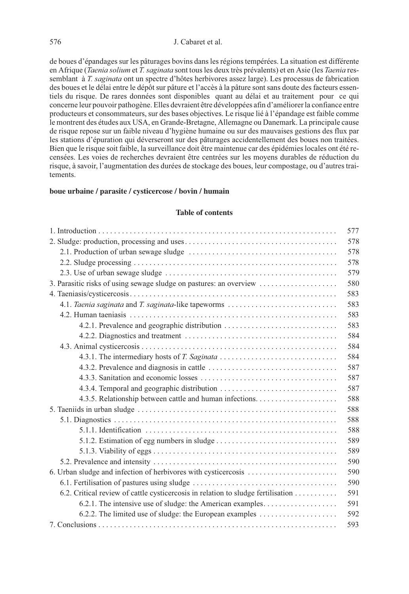### 576 J. Cabaret et al.

de boues d'épandages sur les pâturages bovins dans les régions tempérées. La situation est différente en Afrique (*Taenia solium* et T. saginata sont tous les deux très prévalents) et en Asie (les Taenia ressemblant à T. saginata ont un spectre d'hôtes herbivores assez large). Les processus de fabrication des boues et le délai entre le dépôt sur pâture et l'accès à la pâture sont sans doute des facteurs essentiels du risque. De rares données sont disponibles quant au délai et au traitement pour ce qui concerne leur pouvoir pathogène. Elles devraient être développées afin d'améliorer la confiance entre producteurs et consommateurs, sur des bases objectives. Le risque lié à l'épandage est faible comme le montrent des études aux USA, en Grande-Bretagne, Allemagne ou Danemark. La principale cause de risque repose sur un faible niveau d'hygiène humaine ou sur des mauvaises gestions des flux par les stations d'épuration qui déverseront sur des pâturages accidentellement des boues non traitées. Bien que le risque soit faible, la surveillance doit être maintenue car des épidémies locales ont été recensées. Les voies de recherches devraient être centrées sur les moyens durables de réduction du risque, à savoir, l'augmentation des durées de stockage des boues, leur compostage, ou d'autres traitements.

# **boue urbaine / parasite / cysticercose / bovin / humain**

# **Table of contents**

|                                                                                  | 577 |
|----------------------------------------------------------------------------------|-----|
|                                                                                  | 578 |
|                                                                                  | 578 |
|                                                                                  | 578 |
|                                                                                  | 579 |
|                                                                                  | 580 |
|                                                                                  | 583 |
| 4.1. Taenia saginata and T. saginata-like tapeworms                              | 583 |
|                                                                                  | 583 |
| 4.2.1. Prevalence and geographic distribution                                    | 583 |
|                                                                                  | 584 |
|                                                                                  | 584 |
|                                                                                  | 584 |
|                                                                                  | 587 |
|                                                                                  | 587 |
|                                                                                  | 587 |
|                                                                                  | 588 |
|                                                                                  | 588 |
|                                                                                  | 588 |
|                                                                                  | 588 |
|                                                                                  | 589 |
|                                                                                  | 589 |
|                                                                                  | 590 |
| 6. Urban sludge and infection of herbivores with cysticercosis                   | 590 |
|                                                                                  | 590 |
| 6.2. Critical review of cattle cysticercosis in relation to sludge fertilisation | 591 |
|                                                                                  | 591 |
| 6.2.2. The limited use of sludge: the European examples                          | 592 |
|                                                                                  | 593 |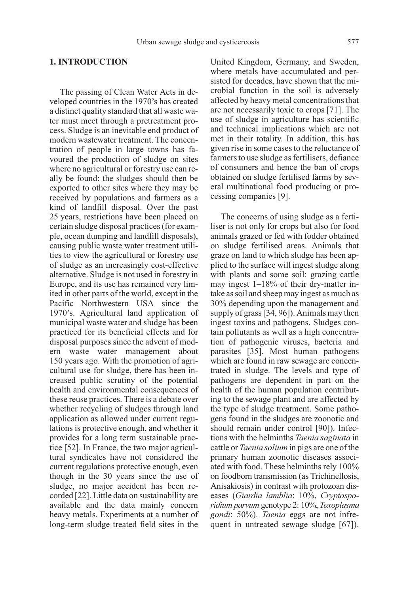### **1. INTRODUCTION**

The passing of Clean Water Acts in developed countries in the 1970's has created a distinct quality standard that all waste water must meet through a pretreatment process. Sludge is an inevitable end product of modern wastewater treatment. The concentration of people in large towns has favoured the production of sludge on sites where no agricultural or forestry use can really be found: the sludges should then be exported to other sites where they may be received by populations and farmers as a kind of landfill disposal. Over the past 25 years, restrictions have been placed on certain sludge disposal practices (for example, ocean dumping and landfill disposals), causing public waste water treatment utilities to view the agricultural or forestry use of sludge as an increasingly cost-effective alternative. Sludge is not used in forestry in Europe, and its use has remained very limited in other parts of the world, except in the Pacific Northwestern USA since the 1970's. Agricultural land application of municipal waste water and sludge has been practiced for its beneficial effects and for disposal purposes since the advent of modern waste water management about 150 years ago. With the promotion of agricultural use for sludge, there has been increased public scrutiny of the potential health and environmental consequences of these reuse practices. There is a debate over whether recycling of sludges through land application as allowed under current regulations is protective enough, and whether it provides for a long term sustainable practice [52]. In France, the two major agricultural syndicates have not considered the current regulations protective enough, even though in the 30 years since the use of sludge, no major accident has been recorded [22]. Little data on sustainability are available and the data mainly concern heavy metals. Experiments at a number of long-term sludge treated field sites in the United Kingdom, Germany, and Sweden, where metals have accumulated and persisted for decades, have shown that the microbial function in the soil is adversely affected by heavy metal concentrations that are not necessarily toxic to crops [71]. The use of sludge in agriculture has scientific and technical implications which are not met in their totality. In addition, this has given rise in some cases to the reluctance of farmers to use sludge as fertilisers, defiance of consumers and hence the ban of crops obtained on sludge fertilised farms by several multinational food producing or processing companies [9].

The concerns of using sludge as a fertiliser is not only for crops but also for food animals grazed or fed with fodder obtained on sludge fertilised areas. Animals that graze on land to which sludge has been applied to the surface will ingest sludge along with plants and some soil: grazing cattle may ingest 1–18% of their dry-matter intake as soil and sheep may ingest as much as 30% depending upon the management and supply of grass [34, 96]). Animals may then ingest toxins and pathogens. Sludges contain pollutants as well as a high concentration of pathogenic viruses, bacteria and parasites [35]. Most human pathogens which are found in raw sewage are concentrated in sludge. The levels and type of pathogens are dependent in part on the health of the human population contributing to the sewage plant and are affected by the type of sludge treatment. Some pathogens found in the sludges are zoonotic and should remain under control [90]). Infections with the helminths Taenia saginata in cattle or Taenia solium in pigs are one of the primary human zoonotic diseases associated with food. These helminths rely 100% on foodborn transmission (as Trichinellosis, Anisakiosis) in contrast with protozoan diseases (Giardia lamblia: 10%, Cryptosporidium parvum genotype 2: 10%, Toxoplasma gondi: 50%). Taenia eggs are not infrequent in untreated sewage sludge [67]).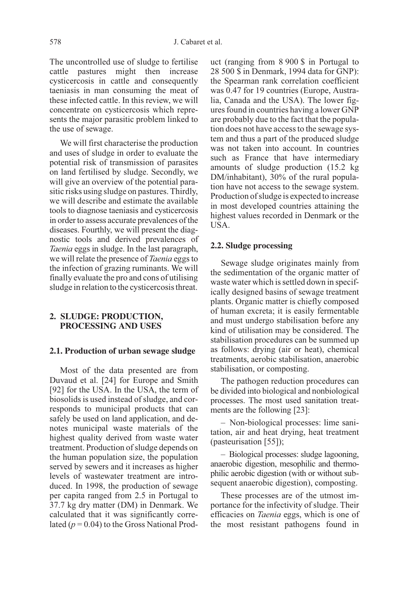The uncontrolled use of sludge to fertilise cattle pastures might then increase cysticercosis in cattle and consequently taeniasis in man consuming the meat of these infected cattle. In this review, we will concentrate on cysticercosis which represents the major parasitic problem linked to the use of sewage.

We will first characterise the production and uses of sludge in order to evaluate the potential risk of transmission of parasites on land fertilised by sludge. Secondly, we will give an overview of the potential parasitic risks using sludge on pastures. Thirdly, we will describe and estimate the available tools to diagnose taeniasis and cysticercosis in order to assess accurate prevalences of the diseases. Fourthly, we will present the diagnostic tools and derived prevalences of Taenia eggs in sludge. In the last paragraph, we will relate the presence of Taenia eggs to the infection of grazing ruminants. We will finally evaluate the pro and cons of utilising sludge in relation to the cysticercosis threat.

#### **2. SLUDGE: PRODUCTION, PROCESSING AND USES**

#### **2.1. Production of urban sewage sludge**

Most of the data presented are from Duvaud et al. [24] for Europe and Smith [92] for the USA. In the USA, the term of biosolids is used instead of sludge, and corresponds to municipal products that can safely be used on land application, and denotes municipal waste materials of the highest quality derived from waste water treatment. Production of sludge depends on the human population size, the population served by sewers and it increases as higher levels of wastewater treatment are introduced. In 1998, the production of sewage per capita ranged from 2.5 in Portugal to 37.7 kg dry matter (DM) in Denmark. We calculated that it was significantly correlated ( $p = 0.04$ ) to the Gross National Product (ranging from 8 900 \$ in Portugal to 28 500 \$ in Denmark, 1994 data for GNP): the Spearman rank correlation coefficient was 0.47 for 19 countries (Europe, Australia, Canada and the USA). The lower figures found in countries having a lower GNP are probably due to the fact that the population does not have access to the sewage system and thus a part of the produced sludge was not taken into account. In countries such as France that have intermediary amounts of sludge production (15.2 kg DM/inhabitant), 30% of the rural population have not access to the sewage system. Production of sludge is expected to increase in most developed countries attaining the highest values recorded in Denmark or the USA.

#### **2.2. Sludge processing**

Sewage sludge originates mainly from the sedimentation of the organic matter of waste water which is settled down in specifically designed basins of sewage treatment plants. Organic matter is chiefly composed of human excreta; it is easily fermentable and must undergo stabilisation before any kind of utilisation may be considered. The stabilisation procedures can be summed up as follows: drying (air or heat), chemical treatments, aerobic stabilisation, anaerobic stabilisation, or composting.

The pathogen reduction procedures can be divided into biological and nonbiological processes. The most used sanitation treatments are the following [23]:

– Non-biological processes: lime sanitation, air and heat drying, heat treatment (pasteurisation [55]);

– Biological processes: sludge lagooning, anaerobic digestion, mesophilic and thermophilic aerobic digestion (with or without subsequent anaerobic digestion), composting.

These processes are of the utmost importance for the infectivity of sludge. Their efficacies on Taenia eggs, which is one of the most resistant pathogens found in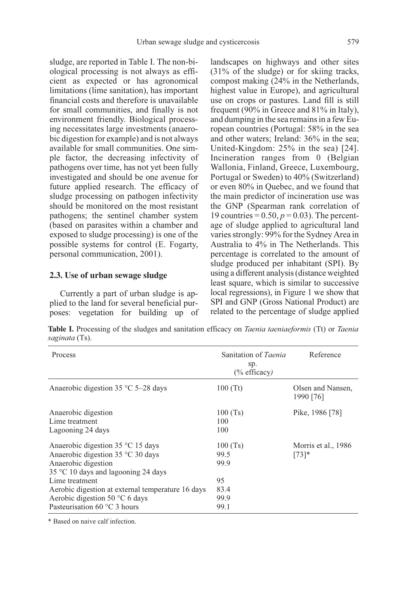sludge, are reported in Table I. The non-biological processing is not always as efficient as expected or has agronomical limitations (lime sanitation), has important financial costs and therefore is unavailable for small communities, and finally is not environment friendly. Biological processing necessitates large investments (anaerobic digestion for example) and is not always available for small communities. One simple factor, the decreasing infectivity of pathogens over time, has not yet been fully investigated and should be one avenue for future applied research. The efficacy of sludge processing on pathogen infectivity should be monitored on the most resistant pathogens; the sentinel chamber system (based on parasites within a chamber and exposed to sludge processing) is one of the possible systems for control (E. Fogarty, personal communication, 2001).

# **2.3. Use of urban sewage sludge**

Currently a part of urban sludge is applied to the land for several beneficial purposes: vegetation for building up of landscapes on highways and other sites (31% of the sludge) or for skiing tracks, compost making (24% in the Netherlands, highest value in Europe), and agricultural use on crops or pastures. Land fill is still frequent (90% in Greece and 81% in Italy), and dumping in the sea remains in a few European countries (Portugal: 58% in the sea and other waters; Ireland: 36% in the sea; United-Kingdom: 25% in the sea) [24]. Incineration ranges from 0 (Belgian Wallonia, Finland, Greece, Luxembourg, Portugal or Sweden) to 40% (Switzerland) or even 80% in Quebec, and we found that the main predictor of incineration use was the GNP (Spearman rank correlation of 19 countries =  $0.50$ ,  $p = 0.03$ ). The percentage of sludge applied to agricultural land varies strongly: 99% for the Sydney Area in Australia to 4% in The Netherlands. This percentage is correlated to the amount of sludge produced per inhabitant (SPI). By using a different analysis (distance weighted least square, which is similar to successive local regressions), in Figure 1 we show that SPI and GNP (Gross National Product) are related to the percentage of sludge applied

**Table I.** Processing of the sludges and sanitation efficacy on *Taenia taeniaeformis* (Tt) or *Taenia* saginata (Ts).

| Process                                                                                                                                                         | Sanitation of Taenia<br>sp.<br>(% efficacy) | Reference                       |
|-----------------------------------------------------------------------------------------------------------------------------------------------------------------|---------------------------------------------|---------------------------------|
| Anaerobic digestion $35^{\circ}$ C 5–28 days                                                                                                                    | 100(Tt)                                     | Olsen and Nansen,<br>1990 [76]  |
| Anaerobic digestion<br>Lime treatment<br>Lagooning 24 days                                                                                                      | 100(Ts)<br>100<br>100                       | Pike, 1986 [78]                 |
| Anaerobic digestion $35^{\circ}$ C 15 days<br>Anaerobic digestion $35^{\circ}$ C 30 days<br>Anaerobic digestion<br>$35^{\circ}$ C 10 days and lagooning 24 days | 100(Ts)<br>99.5<br>99.9                     | Morris et al., 1986<br>$[73]$ * |
| Lime treatment<br>Aerobic digestion at external temperature 16 days<br>Aerobic digestion 50 $\degree$ C 6 days<br>Pasteurisation 60 $\degree$ C 3 hours         | 95<br>83.4<br>99.9<br>99.1                  |                                 |

\* Based on naive calf infection.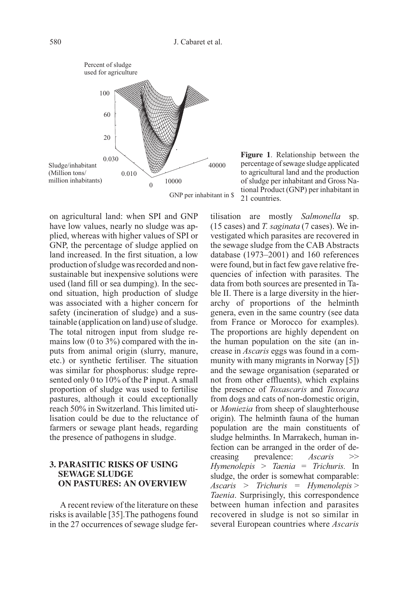

percentage of sewage sludge applicated to agricultural land and the production of sludge per inhabitant and Gross National Product (GNP) per inhabitant in 21 countries.

on agricultural land: when SPI and GNP have low values, nearly no sludge was applied, whereas with higher values of SPI or GNP, the percentage of sludge applied on land increased. In the first situation, a low production of sludge was recorded and nonsustainable but inexpensive solutions were used (land fill or sea dumping). In the second situation, high production of sludge was associated with a higher concern for safety (incineration of sludge) and a sustainable (application on land) use of sludge. The total nitrogen input from sludge remains low (0 to 3%) compared with the inputs from animal origin (slurry, manure, etc.) or synthetic fertiliser. The situation was similar for phosphorus: sludge represented only 0 to 10% of the P input. A small proportion of sludge was used to fertilise pastures, although it could exceptionally reach 50% in Switzerland. This limited utilisation could be due to the reluctance of farmers or sewage plant heads, regarding the presence of pathogens in sludge.

# **3. PARASITIC RISKS OF USING SEWAGE SLUDGE ON PASTURES: AN OVERVIEW**

A recent review of the literature on these risks is available [35].The pathogens found in the 27 occurrences of sewage sludge fertilisation are mostly Salmonella sp. (15 cases) and T. saginata (7 cases). We investigated which parasites are recovered in the sewage sludge from the CAB Abstracts database (1973–2001) and 160 references were found, but in fact few gave relative frequencies of infection with parasites. The data from both sources are presented in Table II. There is a large diversity in the hierarchy of proportions of the helminth genera, even in the same country (see data from France or Morocco for examples). The proportions are highly dependent on the human population on the site (an increase in Ascaris eggs was found in a community with many migrants in Norway [5]) and the sewage organisation (separated or not from other effluents), which explains the presence of Toxascaris and Toxocara from dogs and cats of non-domestic origin, or Moniezia from sheep of slaughterhouse origin). The helminth fauna of the human population are the main constituents of sludge helminths. In Marrakech, human infection can be arranged in the order of decreasing prevalence: Ascaris >> Hymenolepis > Taenia = Trichuris. In sludge, the order is somewhat comparable:  $Ascaris$  > Trichuris = Hymenolepis > Taenia. Surprisingly, this correspondence between human infection and parasites recovered in sludge is not so similar in several European countries where Ascaris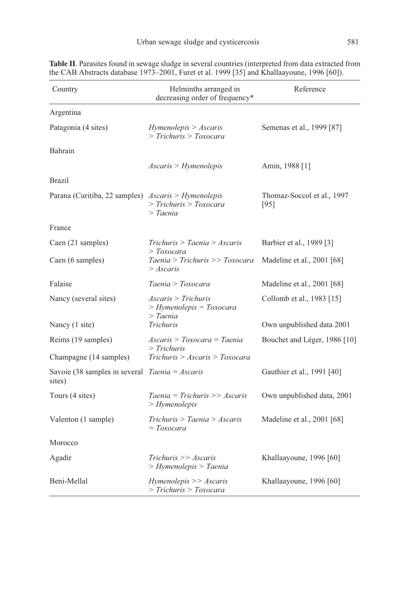| Country                                                    | Helminths arranged in<br>decreasing order of frequency*   | Reference                            |  |
|------------------------------------------------------------|-----------------------------------------------------------|--------------------------------------|--|
| Argentina                                                  |                                                           |                                      |  |
| Patagonia (4 sites)                                        | Hymenolepis > Ascaris<br>> Trichuris > Toxocara           | Semenas et al., 1999 [87]            |  |
| Bahrain                                                    |                                                           |                                      |  |
|                                                            | Ascaris > Hymenolepis                                     | Amin, 1988 [1]                       |  |
| <b>Brazil</b>                                              |                                                           |                                      |  |
| Parana (Curitiba, 22 samples) Ascaris > Hymenolepis        | > Trichuris > Toxocara<br>> Taenia                        | Thomaz-Soccol et al., 1997<br>$[95]$ |  |
| France                                                     |                                                           |                                      |  |
| Caen (21 samples)                                          | Trichuris > Taenia > Ascaris                              | Barbier et al., 1989 [3]             |  |
| Caen (6 samples)                                           | > Toxocara<br>Taenia > Trichuris >> Toxocara<br>> Ascaris | Madeline et al., 2001 [68]           |  |
| Falaise                                                    | Taenia > Toxocara                                         | Madeline et al., 2001 [68]           |  |
| Nancy (several sites)                                      | Ascaris > Trichuris<br>> Hymenolepis = Toxocara           | Collomb et al., 1983 [15]            |  |
| Nancy (1 site)                                             | > Taenia<br><b>Trichuris</b>                              | Own unpublished data 2001            |  |
| Reims (19 samples)                                         | Ascaris > Toxocara = Taenia<br>$\sum$ Trichuris           | Bouchet and Léger, 1986 [10]         |  |
| Champagne (14 samples)                                     | Trichuris > Ascaris > Toxocara                            |                                      |  |
| Savoie (38 samples in several $Taenia = Ascaris$<br>sites) |                                                           | Gauthier et al., 1991 [40]           |  |
| Tours (4 sites)                                            | Taenia = Trichuris >> Ascaris<br>> Hymenolepis            | Own unpublished data, 2001           |  |
| Valenton (1 sample)                                        | Trichuris > Taenia > Ascaris<br>$= Toxocara$              | Madeline et al., 2001 [68]           |  |
| Morocco                                                    |                                                           |                                      |  |
| Agadir                                                     | $Trichuris \geq 4scaris$<br>> Hymenolepis > Taenia        | Khallaayoune, 1996 [60]              |  |
| Beni-Mellal                                                | Hymenolepis >> Ascaris<br>> Trichuris > Toxocara          | Khallaayoune, 1996 [60]              |  |

**Table II**. Parasites found in sewage sludge in several countries (interpreted from data extracted from the CAB Abstracts database 1973–2001, Furet et al. 1999 [35] and Khallaayoune, 1996 [60]).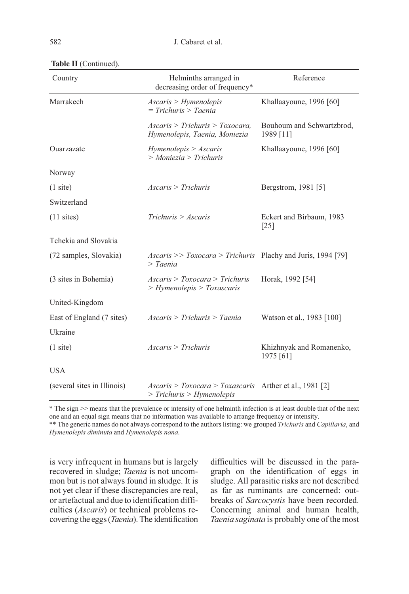| Country                     | Helminths arranged in<br>decreasing order of frequency*                                | Reference                                      |  |
|-----------------------------|----------------------------------------------------------------------------------------|------------------------------------------------|--|
| Marrakech                   | $Ascaris$ > Hymenolepis<br>$= Trichuris > Taenia$                                      |                                                |  |
|                             | $Ascaris$ > Trichuris > Toxocara.<br>Hymenolepis, Taenia, Moniezia                     | Bouhoum and Schwartzbrod,<br>1989 [11]         |  |
| Ouarzazate                  | Hymenolepis > Ascaris<br>$>$ Moniezia $>$ Trichuris                                    | Khallaayoune, 1996 [60]                        |  |
| Norway                      |                                                                                        |                                                |  |
| $(1 \text{ site})$          | $Ascaris$ > Trichuris                                                                  | Bergstrom, 1981 [5]                            |  |
| Switzerland                 |                                                                                        |                                                |  |
| $(11$ sites)                | Trichuris > Ascaris                                                                    | Eckert and Birbaum, 1983<br>$\lceil 25 \rceil$ |  |
| Tchekia and Slovakia        |                                                                                        |                                                |  |
| (72 samples, Slovakia)      | $Ascaris \gg Toxocara \ge Trichuris$ Plachy and Juris, 1994 [79]<br>> Taenia           |                                                |  |
| (3 sites in Bohemia)        | Ascaris > Toxocara > Trichuris<br>> Hymenolepis > Toxascaris                           | Horak, 1992 [54]                               |  |
| United-Kingdom              |                                                                                        |                                                |  |
| East of England (7 sites)   | $Ascaris$ > Trichuris > Taenia                                                         | Watson et al., 1983 [100]                      |  |
| Ukraine                     |                                                                                        |                                                |  |
| $(1 \text{ site})$          | $Ascaris$ > Trichuris                                                                  | Khizhnyak and Romanenko,<br>1975 [61]          |  |
| <b>USA</b>                  |                                                                                        |                                                |  |
| (several sites in Illinois) | $Ascaris > Toxocara > Toxascaris$ Arther et al., 1981 [2]<br>> Trichuris > Hymenolepis |                                                |  |

\* The sign >> means that the prevalence or intensity of one helminth infection is at least double that of the next one and an equal sign means that no information was available to arrange frequency or intensity.

\*\* The generic names do not always correspond to the authors listing: we grouped Trichuris and Capillaria, and Hymenolepis diminuta and Hymenolepis nana.

is very infrequent in humans but is largely recovered in sludge; Taenia is not uncommon but is not always found in sludge. It is not yet clear if these discrepancies are real, or artefactual and due to identification difficulties (Ascaris) or technical problems recovering the eggs (Taenia). The identification difficulties will be discussed in the paragraph on the identification of eggs in sludge. All parasitic risks are not described as far as ruminants are concerned: outbreaks of Sarcocystis have been recorded. Concerning animal and human health, Taenia saginata is probably one of the most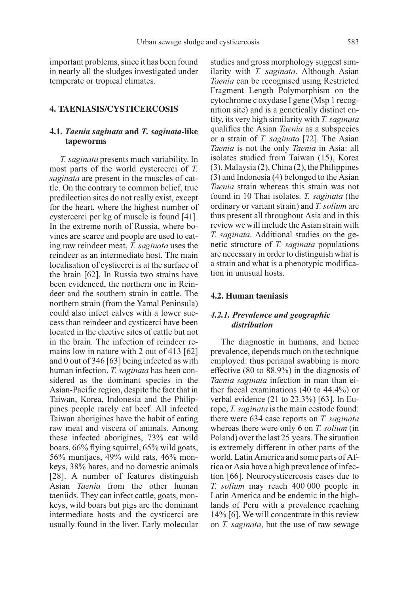important problems, since it has been found in nearly all the sludges investigated under temperate or tropical climates.

# **4. TAENIASIS/CYSTICERCOSIS**

# **4.1.** Taenia saginata **and** T. saginata-**like tapeworms**

T. saginata presents much variability. In most parts of the world cystercerci of T. saginata are present in the muscles of cattle. On the contrary to common belief, true predilection sites do not really exist, except for the heart, where the highest number of cystercerci per kg of muscle is found [41]. In the extreme north of Russia, where bovines are scarce and people are used to eating raw reindeer meat, T. saginata uses the reindeer as an intermediate host. The main localisation of cysticerci is at the surface of the brain [62]. In Russia two strains have been evidenced, the northern one in Reindeer and the southern strain in cattle. The northern strain (from the Yamal Peninsula) could also infect calves with a lower success than reindeer and cysticerci have been located in the elective sites of cattle but not in the brain. The infection of reindeer remains low in nature with 2 out of 413 [62] and 0 out of 346 [63] being infected as with human infection. T. saginata has been considered as the dominant species in the Asian-Pacific region, despite the fact that in Taiwan, Korea, Indonesia and the Philippines people rarely eat beef. All infected Taiwan aborigines have the habit of eating raw meat and viscera of animals. Among these infected aborigines, 73% eat wild boars, 66% flying squirrel, 65% wild goats, 56% muntjacs, 49% wild rats, 46% monkeys, 38% hares, and no domestic animals [28]. A number of features distinguish Asian Taenia from the other human taeniids. They can infect cattle, goats, monkeys, wild boars but pigs are the dominant intermediate hosts and the cysticerci are usually found in the liver. Early molecular studies and gross morphology suggest similarity with T. saginata. Although Asian Taenia can be recognised using Restricted Fragment Length Polymorphism on the cytochrome c oxydase I gene (Msp 1 recognition site) and is a genetically distinct entity, its very high similarity with T. saginata qualifies the Asian Taenia as a subspecies or a strain of T. saginata [72]. The Asian Taenia is not the only Taenia in Asia: all isolates studied from Taiwan (15), Korea (3), Malaysia (2), China (2), the Philippines (3) and Indonesia (4) belonged to the Asian Taenia strain whereas this strain was not found in 10 Thai isolates. T. saginata (the ordinary or variant strain) and T. solium are thus present all throughout Asia and in this review we will include the Asian strain with T. saginata. Additional studies on the genetic structure of T. saginata populations are necessary in order to distinguish what is a strain and what is a phenotypic modification in unusual hosts.

### **4.2. Human taeniasis**

# 4.2.1. Prevalence and geographic distribution

The diagnostic in humans, and hence prevalence, depends much on the technique employed: thus perianal swabbing is more effective (80 to 88.9%) in the diagnosis of Taenia saginata infection in man than either faecal examinations (40 to 44.4%) or verbal evidence (21 to 23.3%) [63]. In Europe, T. saginata is the main cestode found: there were 634 case reports on T. saginata whereas there were only 6 on *T. solium* (in Poland) over the last 25 years. The situation is extremely different in other parts of the world. Latin America and some parts of Africa or Asia have a high prevalence of infection [66]. Neurocysticercosis cases due to T. solium may reach 400 000 people in Latin America and be endemic in the highlands of Peru with a prevalence reaching 14% [6]. We will concentrate in this review on T. saginata, but the use of raw sewage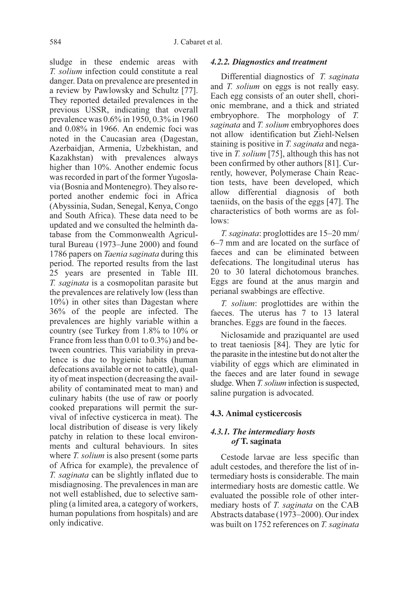sludge in these endemic areas with T. solium infection could constitute a real danger. Data on prevalence are presented in a review by Pawlowsky and Schultz [77]. They reported detailed prevalences in the previous USSR, indicating that overall prevalence was 0.6% in 1950, 0.3% in 1960 and 0.08% in 1966. An endemic foci was noted in the Caucasian area (Dagestan, Azerbaidjan, Armenia, Uzbekhistan, and Kazakhstan) with prevalences always higher than 10%. Another endemic focus was recorded in part of the former Yugoslavia (Bosnia and Montenegro). They also reported another endemic foci in Africa (Abyssinia, Sudan, Senegal, Kenya, Congo and South Africa). These data need to be updated and we consulted the helminth database from the Commonwealth Agricultural Bureau (1973–June 2000) and found 1786 papers on *Taenia saginata* during this period. The reported results from the last 25 years are presented in Table III. T. saginata is a cosmopolitan parasite but the prevalences are relatively low (less than 10%) in other sites than Dagestan where 36% of the people are infected. The prevalences are highly variable within a country (see Turkey from 1.8% to 10% or France from less than 0.01 to 0.3%) and between countries. This variability in prevalence is due to hygienic habits (human defecations available or not to cattle), quality of meat inspection (decreasing the availability of contaminated meat to man) and culinary habits (the use of raw or poorly cooked preparations will permit the survival of infective cysticerca in meat). The local distribution of disease is very likely patchy in relation to these local environments and cultural behaviours. In sites where *T. solium* is also present (some parts of Africa for example), the prevalence of T. saginata can be slightly inflated due to misdiagnosing. The prevalences in man are not well established, due to selective sampling (a limited area, a category of workers, human populations from hospitals) and are only indicative.

#### 4.2.2. Diagnostics and treatment

Differential diagnostics of T. saginata and T. solium on eggs is not really easy. Each egg consists of an outer shell, chorionic membrane, and a thick and striated embryophore. The morphology of T. saginata and T. solium embryophores does not allow identification but Ziehl-Nelsen staining is positive in T. saginata and negative in T. solium [75], although this has not been confirmed by other authors [81]. Currently, however, Polymerase Chain Reaction tests, have been developed, which allow differential diagnosis of both taeniids, on the basis of the eggs [47]. The characteristics of both worms are as follows:

T. saginata: proglottides are 15–20 mm/ 6–7 mm and are located on the surface of faeces and can be eliminated between defecations. The longitudinal uterus has 20 to 30 lateral dichotomous branches. Eggs are found at the anus margin and perianal swabbings are effective.

T. solium: proglottides are within the faeces. The uterus has 7 to 13 lateral branches. Eggs are found in the faeces.

Niclosamide and praziquantel are used to treat taeniosis [84]. They are lytic for the parasite in the intestine but do not alter the viability of eggs which are eliminated in the faeces and are later found in sewage sludge. When T. solium infection is suspected, saline purgation is advocated.

# **4.3. Animal cysticercosis**

# 4.3.1. The intermediary hosts of **T. saginata**

Cestode larvae are less specific than adult cestodes, and therefore the list of intermediary hosts is considerable. The main intermediary hosts are domestic cattle. We evaluated the possible role of other intermediary hosts of T. saginata on the CAB Abstracts database (1973–2000). Our index was built on 1752 references on T. saginata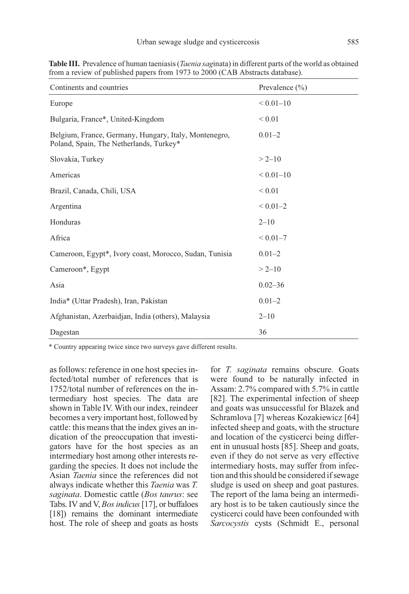| Continents and countries                                                                         | Prevalence $(\% )$ |
|--------------------------------------------------------------------------------------------------|--------------------|
| Europe                                                                                           | ${}< 0.01 - 10$    |
| Bulgaria, France*, United-Kingdom                                                                | ${}< 0.01$         |
| Belgium, France, Germany, Hungary, Italy, Montenegro,<br>Poland, Spain, The Netherlands, Turkey* | $0.01 - 2$         |
| Slovakia, Turkey                                                                                 | $> 2 - 10$         |
| Americas                                                                                         | ${}< 0.01 - 10$    |
| Brazil, Canada, Chili, USA                                                                       | ${}< 0.01$         |
| Argentina                                                                                        | $< 0.01 - 2$       |
| Honduras                                                                                         | $2 - 10$           |
| Africa                                                                                           | $< 0.01 - 7$       |
| Cameroon, Egypt*, Ivory coast, Morocco, Sudan, Tunisia                                           | $0.01 - 2$         |
| Cameroon*, Egypt                                                                                 | $> 2 - 10$         |
| Asia                                                                                             | $0.02 - 36$        |
| India* (Uttar Pradesh), Iran, Pakistan                                                           | $0.01 - 2$         |
| Afghanistan, Azerbaidjan, India (others), Malaysia                                               | $2 - 10$           |
| Dagestan                                                                                         | 36                 |

**Table III.** Prevalence of human taeniasis (*Taenia saginata*) in different parts of the world as obtained from a review of published papers from 1973 to 2000 (CAB Abstracts database).

\* Country appearing twice since two surveys gave different results.

as follows: reference in one host species infected/total number of references that is 1752/total number of references on the intermediary host species. The data are shown in Table IV. With our index, reindeer becomes a very important host, followed by cattle: this means that the index gives an indication of the preoccupation that investigators have for the host species as an intermediary host among other interests regarding the species. It does not include the Asian Taenia since the references did not always indicate whether this Taenia was T. saginata. Domestic cattle (Bos taurus: see Tabs. IV and V, Bos indicus [17], or buffaloes [18]) remains the dominant intermediate host. The role of sheep and goats as hosts for T. saginata remains obscure. Goats were found to be naturally infected in Assam: 2.7% compared with 5.7% in cattle [82]. The experimental infection of sheep and goats was unsuccessful for Blazek and Schramlova [7] whereas Kozakiewicz [64] infected sheep and goats, with the structure and location of the cysticerci being different in unusual hosts [85]. Sheep and goats, even if they do not serve as very effective intermediary hosts, may suffer from infection and this should be considered if sewage sludge is used on sheep and goat pastures. The report of the lama being an intermediary host is to be taken cautiously since the cysticerci could have been confounded with Sarcocystis cysts (Schmidt E., personal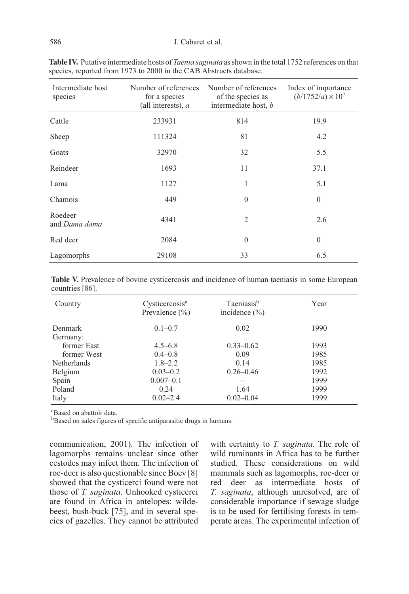#### 586 J. Cabaret et al.

| Intermediate host<br>species | Number of references<br>for a species<br>(all interests), $a$ | Number of references<br>of the species as<br>intermediate host, b | Index of importance<br>$(b/1752/a) \times 10^7$ |
|------------------------------|---------------------------------------------------------------|-------------------------------------------------------------------|-------------------------------------------------|
| Cattle                       | 233931                                                        | 814                                                               | 19.9                                            |
| Sheep                        | 111324                                                        | 81                                                                | 4.2                                             |
| Goats                        | 32970                                                         | 32                                                                | 5.5                                             |
| Reindeer                     | 1693                                                          | 11                                                                | 37.1                                            |
| Lama                         | 1127                                                          | 1                                                                 | 5.1                                             |
| Chamois                      | 449                                                           | $\theta$                                                          | $\overline{0}$                                  |
| Roedeer<br>and Dama dama     | 4341                                                          | $\overline{c}$                                                    | 2.6                                             |
| Red deer                     | 2084                                                          | $\mathbf{0}$                                                      | $\mathbf{0}$                                    |
| Lagomorphs                   | 29108                                                         | 33                                                                | 6.5                                             |

Table IV. Putative intermediate hosts of *Taenia saginata* as shown in the total 1752 references on that species, reported from 1973 to 2000 in the CAB Abstracts database.

Table V. Prevalence of bovine cysticercosis and incidence of human taeniasis in some European countries [86].

| Country            | Cysticercosis <sup>a</sup><br>Prevalence $(\% )$ | Taeniasis <sup>b</sup><br>incidence $(\% )$ | Year |
|--------------------|--------------------------------------------------|---------------------------------------------|------|
| Denmark            | $0.1 - 0.7$                                      | 0.02                                        | 1990 |
| Germany:           |                                                  |                                             |      |
| former East        | $4.5 - 6.8$                                      | $0.33 - 0.62$                               | 1993 |
| former West        | $0.4 - 0.8$                                      | 0.09                                        | 1985 |
| <b>Netherlands</b> | $1.8 - 2.2$                                      | 0.14                                        | 1985 |
| Belgium            | $0.03 - 0.2$                                     | $0.26 - 0.46$                               | 1992 |
| Spain              | $0.007 - 0.1$                                    |                                             | 1999 |
| Poland             | 0.24                                             | 1.64                                        | 1999 |
| Italy              | $0.02 - 2.4$                                     | $0.02 - 0.04$                               | 1999 |

a Based on abattoir data.

bBased on sales figures of specific antiparasitic drugs in humans.

communication, 2001). The infection of lagomorphs remains unclear since other cestodes may infect them. The infection of roe-deer is also questionable since Boev [8] showed that the cysticerci found were not those of T. saginata. Unhooked cysticerci are found in Africa in antelopes: wildebeest, bush-buck [75], and in several species of gazelles. They cannot be attributed with certainty to T. saginata. The role of wild ruminants in Africa has to be further studied. These considerations on wild mammals such as lagomorphs, roe-deer or red deer as intermediate hosts of T. saginata, although unresolved, are of considerable importance if sewage sludge is to be used for fertilising forests in temperate areas. The experimental infection of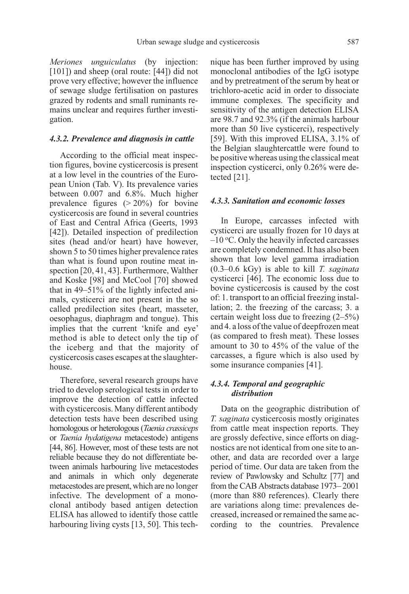Meriones unguiculatus (by injection: [101]) and sheep (oral route: [44]) did not prove very effective; however the influence of sewage sludge fertilisation on pastures grazed by rodents and small ruminants remains unclear and requires further investigation.

#### 4.3.2. Prevalence and diagnosis in cattle

According to the official meat inspection figures, bovine cysticercosis is present at a low level in the countries of the European Union (Tab. V). Its prevalence varies between 0.007 and 6.8%. Much higher prevalence figures  $(> 20\%)$  for bovine cysticercosis are found in several countries of East and Central Africa (Geerts, 1993 [42]). Detailed inspection of predilection sites (head and/or heart) have however, shown 5 to 50 times higher prevalence rates than what is found upon routine meat inspection [20, 41, 43]. Furthermore, Walther and Koske [98] and McCool [70] showed that in 49–51% of the lightly infected animals, cysticerci are not present in the so called predilection sites (heart, masseter, oesophagus, diaphragm and tongue). This implies that the current 'knife and eye' method is able to detect only the tip of the iceberg and that the majority of cysticercosis cases escapes at the slaughterhouse.

Therefore, several research groups have tried to develop serological tests in order to improve the detection of cattle infected with cysticercosis. Many different antibody detection tests have been described using homologous or heterologous (Taenia crassiceps or Taenia hydatigena metacestode) antigens [44, 86]. However, most of these tests are not reliable because they do not differentiate between animals harbouring live metacestodes and animals in which only degenerate metacestodes are present, which are no longer infective. The development of a monoclonal antibody based antigen detection ELISA has allowed to identify those cattle harbouring living cysts [13, 50]. This technique has been further improved by using monoclonal antibodies of the IgG isotype and by pretreatment of the serum by heat or trichloro-acetic acid in order to dissociate immune complexes. The specificity and sensitivity of the antigen detection ELISA are 98.7 and 92.3% (if the animals harbour more than 50 live cysticerci), respectively [59]. With this improved ELISA, 3.1% of the Belgian slaughtercattle were found to be positive whereas using the classical meat inspection cysticerci, only 0.26% were detected [21].

#### 4.3.3. Sanitation and economic losses

In Europe, carcasses infected with cysticerci are usually frozen for 10 days at  $-10$  °C. Only the heavily infected carcasses are completely condemned. It has also been shown that low level gamma irradiation  $(0.3-0.6 \text{ kGy})$  is able to kill T. saginata cysticerci [46]. The economic loss due to bovine cysticercosis is caused by the cost of: 1. transport to an official freezing installation; 2. the freezing of the carcass; 3. a certain weight loss due to freezing (2–5%) and 4. a loss of the value of deepfrozen meat (as compared to fresh meat). These losses amount to 30 to 45% of the value of the carcasses, a figure which is also used by some insurance companies [41].

# 4.3.4. Temporal and geographic distribution

Data on the geographic distribution of T. saginata cysticercosis mostly originates from cattle meat inspection reports. They are grossly defective, since efforts on diagnostics are not identical from one site to another, and data are recorded over a large period of time. Our data are taken from the review of Pawlowsky and Schultz [77] and from the CAB Abstracts database 1973– 2001 (more than 880 references). Clearly there are variations along time: prevalences decreased, increased or remained the same according to the countries. Prevalence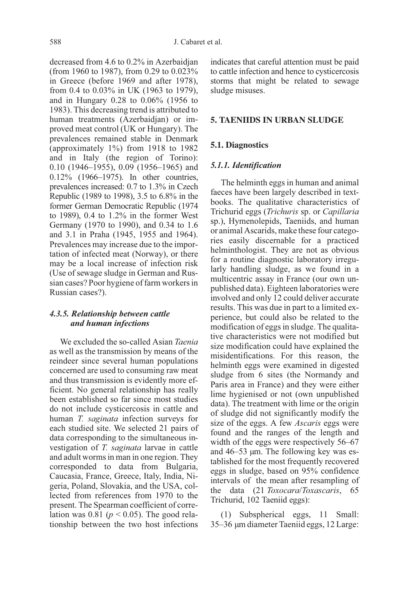decreased from 4.6 to 0.2% in Azerbaidjan (from 1960 to 1987), from 0.29 to 0.023% in Greece (before 1969 and after 1978), from 0.4 to 0.03% in UK (1963 to 1979), and in Hungary 0.28 to 0.06% (1956 to 1983). This decreasing trend is attributed to human treatments (Azerbaidjan) or improved meat control (UK or Hungary). The prevalences remained stable in Denmark (approximately 1%) from 1918 to 1982 and in Italy (the region of Torino): 0.10 (1946–1955), 0.09 (1956–1965) and 0.12% (1966–1975). In other countries, prevalences increased: 0.7 to 1.3% in Czech Republic (1989 to 1998), 3.5 to 6.8% in the former German Democratic Republic (1974 to 1989), 0.4 to 1.2% in the former West Germany (1970 to 1990), and 0.34 to 1.6 and 3.1 in Praha (1945, 1955 and 1964). Prevalences may increase due to the importation of infected meat (Norway), or there may be a local increase of infection risk (Use of sewage sludge in German and Russian cases? Poor hygiene of farm workers in Russian cases?).

# 4.3.5. Relationship between cattle and human infections

We excluded the so-called Asian Taenia as well as the transmission by means of the reindeer since several human populations concerned are used to consuming raw meat and thus transmission is evidently more efficient. No general relationship has really been established so far since most studies do not include cysticercosis in cattle and human T. saginata infection surveys for each studied site. We selected 21 pairs of data corresponding to the simultaneous investigation of T. saginata larvae in cattle and adult worms in man in one region. They corresponded to data from Bulgaria, Caucasia, France, Greece, Italy, India, Nigeria, Poland, Slovakia, and the USA, collected from references from 1970 to the present. The Spearman coefficient of correlation was 0.81 ( $p < 0.05$ ). The good relationship between the two host infections indicates that careful attention must be paid to cattle infection and hence to cysticercosis storms that might be related to sewage sludge misuses.

#### **5. TAENIIDS IN URBAN SLUDGE**

# **5.1. Diagnostics**

#### 5.1.1. Identification

The helminth eggs in human and animal faeces have been largely described in textbooks. The qualitative characteristics of Trichurid eggs (Trichuris sp. or Capillaria sp.), Hymenolepids, Taeniids, and human or animal Ascarids, make these four categories easily discernable for a practiced helminthologist. They are not as obvious for a routine diagnostic laboratory irregularly handling sludge, as we found in a multicentric assay in France (our own unpublished data). Eighteen laboratories were involved and only 12 could deliver accurate results. This was due in part to a limited experience, but could also be related to the modification of eggs in sludge. The qualitative characteristics were not modified but size modification could have explained the misidentifications. For this reason, the helminth eggs were examined in digested sludge from 6 sites (the Normandy and Paris area in France) and they were either lime hygienised or not (own unpublished data). The treatment with lime or the origin of sludge did not significantly modify the size of the eggs. A few Ascaris eggs were found and the ranges of the length and width of the eggs were respectively 56–67 and 46–53 µm. The following key was established for the most frequently recovered eggs in sludge, based on 95% confidence intervals of the mean after resampling of the data (21 Toxocara/Toxascaris, 65 Trichurid, 102 Taeniid eggs):

(1) Subspherical eggs, 11 Small: 35–36 µm diameter Taeniid eggs, 12 Large: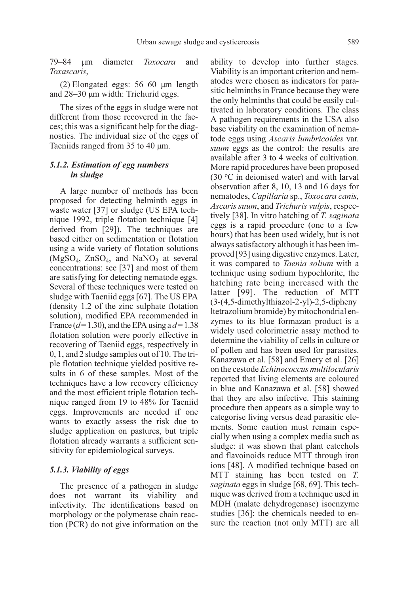79–84 µm diameter Toxocara and Toxascaris,

(2) Elongated eggs: 56–60 µm length and 28–30 µm width: Trichurid eggs.

The sizes of the eggs in sludge were not different from those recovered in the faeces; this was a significant help for the diagnostics. The individual size of the eggs of Taeniids ranged from 35 to 40  $\mu$ m.

# 5.1.2. Estimation of egg numbers in sludge

A large number of methods has been proposed for detecting helminth eggs in waste water [37] or sludge (US EPA technique 1992, triple flotation technique [4] derived from [29]). The techniques are based either on sedimentation or flotation using a wide variety of flotation solutions  $(MgSO<sub>4</sub>, ZnSO<sub>4</sub>, and NaNO<sub>3</sub> at several)$ concentrations: see [37] and most of them are satisfying for detecting nematode eggs. Several of these techniques were tested on sludge with Taeniid eggs [67]. The US EPA (density 1.2 of the zinc sulphate flotation solution), modified EPA recommended in France ( $d= 1.30$ ), and the EPA using a  $d= 1.38$ flotation solution were poorly effective in recovering of Taeniid eggs, respectively in 0, 1, and 2 sludge samples out of 10. The triple flotation technique yielded positive results in 6 of these samples. Most of the techniques have a low recovery efficiency and the most efficient triple flotation technique ranged from 19 to 48% for Taeniid eggs. Improvements are needed if one wants to exactly assess the risk due to sludge application on pastures, but triple flotation already warrants a sufficient sensitivity for epidemiological surveys.

# 5.1.3. Viability of eggs

The presence of a pathogen in sludge does not warrant its viability and infectivity. The identifications based on morphology or the polymerase chain reaction (PCR) do not give information on the

ability to develop into further stages. Viability is an important criterion and nematodes were chosen as indicators for parasitic helminths in France because they were the only helminths that could be easily cultivated in laboratory conditions. The class A pathogen requirements in the USA also base viability on the examination of nematode eggs using Ascaris lumbricoides var. suum eggs as the control: the results are available after 3 to 4 weeks of cultivation. More rapid procedures have been proposed  $(30 °C)$  in deionised water) and with larval observation after 8, 10, 13 and 16 days for nematodes, Capillaria sp., Toxocara canis, Ascaris suum, and Trichuris vulpis, respectively [38]. In vitro hatching of T. saginata eggs is a rapid procedure (one to a few hours) that has been used widely, but is not always satisfactory although it has been improved [93] using digestive enzymes. Later, it was compared to Taenia solium with a technique using sodium hypochlorite, the hatching rate being increased with the latter [99]. The reduction of MTT (3-(4,5-dimethylthiazol-2-yl)-2,5-dipheny ltetrazolium bromide) by mitochondrial enzymes to its blue formazan product is a widely used colorimetric assay method to determine the viability of cells in culture or of pollen and has been used for parasites. Kanazawa et al. [58] and Emery et al. [26] on the cestode Echinococcus multilocularis reported that living elements are coloured in blue and Kanazawa et al. [58] showed that they are also infective. This staining procedure then appears as a simple way to categorise living versus dead parasitic elements. Some caution must remain especially when using a complex media such as sludge: it was shown that plant catechols and flavoinoids reduce MTT through iron ions [48]. A modified technique based on MTT staining has been tested on T. saginata eggs in sludge [68, 69]. This technique was derived from a technique used in MDH (malate dehydrogenase) isoenzyme studies [36]: the chemicals needed to ensure the reaction (not only MTT) are all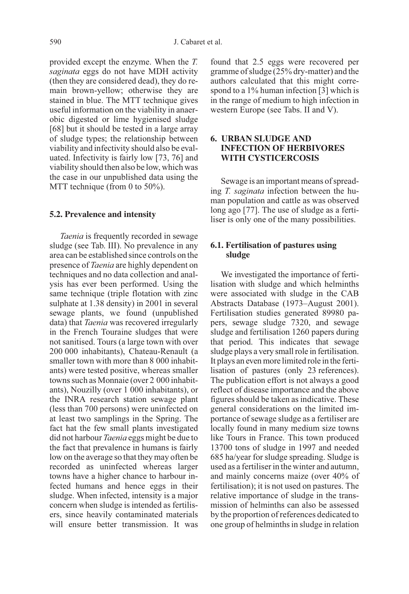provided except the enzyme. When the T. saginata eggs do not have MDH activity (then they are considered dead), they do remain brown-yellow; otherwise they are stained in blue. The MTT technique gives useful information on the viability in anaerobic digested or lime hygienised sludge [68] but it should be tested in a large array of sludge types; the relationship between viability and infectivity should also be evaluated. Infectivity is fairly low [73, 76] and viability should then also be low, which was the case in our unpublished data using the MTT technique (from 0 to 50%).

#### **5.2. Prevalence and intensity**

Taenia is frequently recorded in sewage sludge (see Tab. III). No prevalence in any area can be established since controls on the presence of Taenia are highly dependent on techniques and no data collection and analysis has ever been performed. Using the same technique (triple flotation with zinc sulphate at 1.38 density) in 2001 in several sewage plants, we found (unpublished data) that *Taenia* was recovered irregularly in the French Touraine sludges that were not sanitised. Tours (a large town with over 200 000 inhabitants), Chateau-Renault (a smaller town with more than 8 000 inhabitants) were tested positive, whereas smaller towns such as Monnaie (over 2 000 inhabitants), Nouzilly (over 1 000 inhabitants), or the INRA research station sewage plant (less than 700 persons) were uninfected on at least two samplings in the Spring. The fact hat the few small plants investigated did not harbour *Taenia* eggs might be due to the fact that prevalence in humans is fairly low on the average so that they may often be recorded as uninfected whereas larger towns have a higher chance to harbour infected humans and hence eggs in their sludge. When infected, intensity is a major concern when sludge is intended as fertilisers, since heavily contaminated materials will ensure better transmission. It was

found that 2.5 eggs were recovered per gramme of sludge (25% dry-matter) and the authors calculated that this might correspond to a 1% human infection [3] which is in the range of medium to high infection in western Europe (see Tabs. II and V).

# **6. URBAN SLUDGE AND INFECTION OF HERBIVORES WITH CYSTICERCOSIS**

Sewage is an important means of spreading T. saginata infection between the human population and cattle as was observed long ago [77]. The use of sludge as a fertiliser is only one of the many possibilities.

# **6.1. Fertilisation of pastures using sludge**

We investigated the importance of fertilisation with sludge and which helminths were associated with sludge in the CAB Abstracts Database (1973–August 2001). Fertilisation studies generated 89980 papers, sewage sludge 7320, and sewage sludge and fertilisation 1260 papers during that period. This indicates that sewage sludge plays a very small role in fertilisation. It plays an even more limited role in the fertilisation of pastures (only 23 references). The publication effort is not always a good reflect of disease importance and the above figures should be taken as indicative. These general considerations on the limited importance of sewage sludge as a fertiliser are locally found in many medium size towns like Tours in France. This town produced 13700 tons of sludge in 1997 and needed 685 ha/year for sludge spreading. Sludge is used as a fertiliser in the winter and autumn, and mainly concerns maize (over 40% of fertilisation); it is not used on pastures. The relative importance of sludge in the transmission of helminths can also be assessed by the proportion of references dedicated to one group of helminths in sludge in relation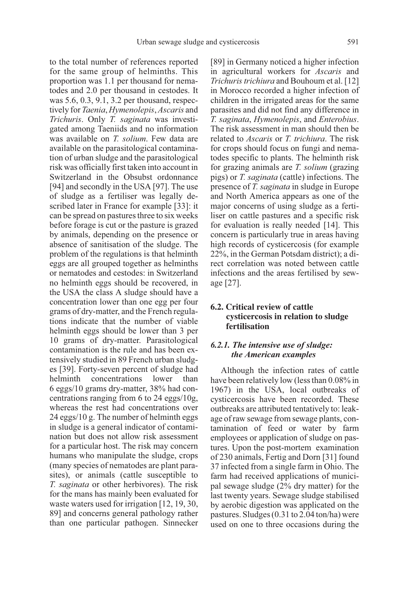to the total number of references reported for the same group of helminths. This proportion was 1.1 per thousand for nematodes and 2.0 per thousand in cestodes. It was 5.6, 0.3, 9.1, 3.2 per thousand, respectively for Taenia, Hymenolepis, Ascaris and Trichuris. Only T. saginata was investigated among Taeniids and no information was available on *T. solium*. Few data are available on the parasitological contamination of urban sludge and the parasitological risk was officially first taken into account in Switzerland in the Obsubst ordonnance [94] and secondly in the USA [97]. The use of sludge as a fertiliser was legally described later in France for example [33]: it can be spread on pastures three to six weeks before forage is cut or the pasture is grazed by animals, depending on the presence or absence of sanitisation of the sludge. The problem of the regulations is that helminth eggs are all grouped together as helminths or nematodes and cestodes: in Switzerland no helminth eggs should be recovered, in the USA the class A sludge should have a concentration lower than one egg per four grams of dry-matter, and the French regulations indicate that the number of viable helminth eggs should be lower than 3 per 10 grams of dry-matter. Parasitological contamination is the rule and has been extensively studied in 89 French urban sludges [39]. Forty-seven percent of sludge had helminth concentrations lower than 6 eggs/10 grams dry-matter, 38% had concentrations ranging from 6 to 24 eggs/10g, whereas the rest had concentrations over 24 eggs/10 g. The number of helminth eggs in sludge is a general indicator of contamination but does not allow risk assessment for a particular host. The risk may concern humans who manipulate the sludge, crops (many species of nematodes are plant parasites), or animals (cattle susceptible to T. saginata or other herbivores). The risk for the mans has mainly been evaluated for waste waters used for irrigation [12, 19, 30, 89] and concerns general pathology rather than one particular pathogen. Sinnecker [89] in Germany noticed a higher infection in agricultural workers for Ascaris and Trichuris trichiura and Bouhoum et al. [12] in Morocco recorded a higher infection of children in the irrigated areas for the same parasites and did not find any difference in T. saginata, Hymenolepis, and Enterobius. The risk assessment in man should then be related to Ascaris or T. trichiura. The risk for crops should focus on fungi and nematodes specific to plants. The helminth risk for grazing animals are T. solium (grazing pigs) or T. saginata (cattle) infections. The presence of T. saginata in sludge in Europe and North America appears as one of the major concerns of using sludge as a fertiliser on cattle pastures and a specific risk for evaluation is really needed [14]. This concern is particularly true in areas having high records of cysticercosis (for example 22%, in the German Potsdam district); a direct correlation was noted between cattle infections and the areas fertilised by sewage [27].

# **6.2. Critical review of cattle cysticercosis in relation to sludge fertilisation**

# 6.2.1. The intensive use of sludge: the American examples

Although the infection rates of cattle have been relatively low (less than 0.08% in 1967) in the USA, local outbreaks of cysticercosis have been recorded. These outbreaks are attributed tentatively to: leakage of raw sewage from sewage plants, contamination of feed or water by farm employees or application of sludge on pastures. Upon the post-mortem examination of 230 animals, Fertig and Dorn [31] found 37 infected from a single farm in Ohio. The farm had received applications of municipal sewage sludge (2% dry matter) for the last twenty years. Sewage sludge stabilised by aerobic digestion was applicated on the pastures. Sludges (0.31 to 2.04 ton/ha) were used on one to three occasions during the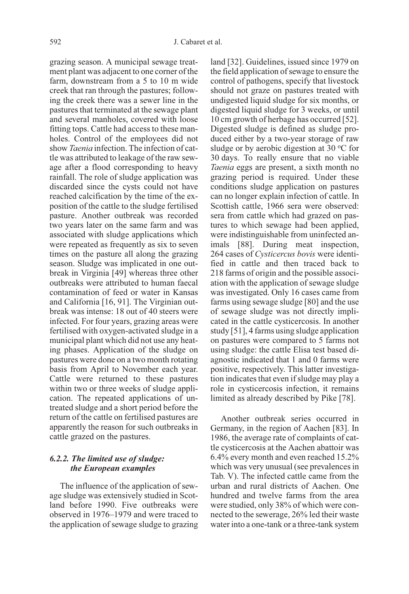grazing season. A municipal sewage treatment plant was adjacent to one corner of the farm, downstream from a 5 to 10 m wide creek that ran through the pastures; following the creek there was a sewer line in the pastures that terminated at the sewage plant and several manholes, covered with loose fitting tops. Cattle had access to these manholes. Control of the employees did not show Taenia infection. The infection of cattle was attributed to leakage of the raw sewage after a flood corresponding to heavy rainfall. The role of sludge application was discarded since the cysts could not have reached calcification by the time of the exposition of the cattle to the sludge fertilised pasture. Another outbreak was recorded two years later on the same farm and was associated with sludge applications which were repeated as frequently as six to seven times on the pasture all along the grazing season. Sludge was implicated in one outbreak in Virginia [49] whereas three other outbreaks were attributed to human faecal contamination of feed or water in Kansas and California [16, 91]. The Virginian outbreak was intense: 18 out of 40 steers were infected. For four years, grazing areas were fertilised with oxygen-activated sludge in a municipal plant which did not use any heating phases. Application of the sludge on pastures were done on a two month rotating basis from April to November each year. Cattle were returned to these pastures within two or three weeks of sludge application. The repeated applications of untreated sludge and a short period before the return of the cattle on fertilised pastures are apparently the reason for such outbreaks in cattle grazed on the pastures.

# 6.2.2. The limited use of sludge: the European examples

The influence of the application of sewage sludge was extensively studied in Scotland before 1990. Five outbreaks were observed in 1976–1979 and were traced to the application of sewage sludge to grazing

land [32]. Guidelines, issued since 1979 on the field application of sewage to ensure the control of pathogens, specify that livestock should not graze on pastures treated with undigested liquid sludge for six months, or digested liquid sludge for 3 weeks, or until 10 cm growth of herbage has occurred [52]. Digested sludge is defined as sludge produced either by a two-year storage of raw sludge or by aerobic digestion at 30  $\rm{^{\circ}C}$  for 30 days. To really ensure that no viable Taenia eggs are present, a sixth month no grazing period is required. Under these conditions sludge application on pastures can no longer explain infection of cattle. In Scottish cattle, 1966 sera were observed: sera from cattle which had grazed on pastures to which sewage had been applied, were indistinguishable from uninfected animals [88]. During meat inspection, 264 cases of Cysticercus bovis were identified in cattle and then traced back to 218 farms of origin and the possible association with the application of sewage sludge was investigated. Only 16 cases came from farms using sewage sludge [80] and the use of sewage sludge was not directly implicated in the cattle cysticercosis. In another study [51], 4 farms using sludge application on pastures were compared to 5 farms not using sludge: the cattle Elisa test based diagnostic indicated that 1 and 0 farms were positive, respectively. This latter investigation indicates that even if sludge may play a role in cysticercosis infection, it remains limited as already described by Pike [78].

Another outbreak series occurred in Germany, in the region of Aachen [83]. In 1986, the average rate of complaints of cattle cysticercosis at the Aachen abattoir was 6.4% every month and even reached 15.2% which was very unusual (see prevalences in Tab. V). The infected cattle came from the urban and rural districts of Aachen. One hundred and twelve farms from the area were studied, only 38% of which were connected to the sewerage, 26% led their waste water into a one-tank or a three-tank system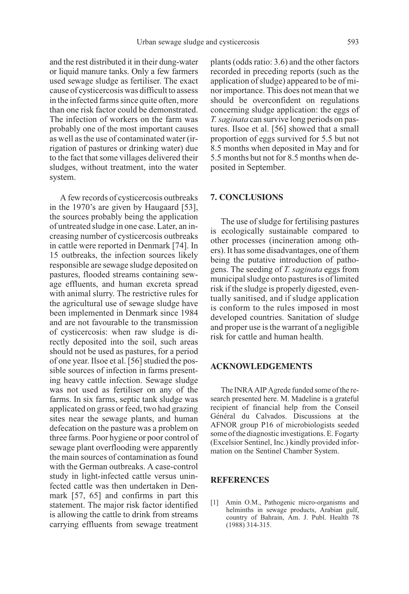and the rest distributed it in their dung-water or liquid manure tanks. Only a few farmers used sewage sludge as fertiliser. The exact cause of cysticercosis was difficult to assess in the infected farms since quite often, more than one risk factor could be demonstrated. The infection of workers on the farm was probably one of the most important causes as well as the use of contaminated water (irrigation of pastures or drinking water) due to the fact that some villages delivered their sludges, without treatment, into the water system.

A few records of cysticercosis outbreaks in the 1970's are given by Haugaard [53], the sources probably being the application of untreated sludge in one case. Later, an increasing number of cysticercosis outbreaks in cattle were reported in Denmark [74]. In 15 outbreaks, the infection sources likely responsible are sewage sludge deposited on pastures, flooded streams containing sewage effluents, and human excreta spread with animal slurry. The restrictive rules for the agricultural use of sewage sludge have been implemented in Denmark since 1984 and are not favourable to the transmission of cysticercosis: when raw sludge is directly deposited into the soil, such areas should not be used as pastures, for a period of one year. Ilsoe et al. [56] studied the possible sources of infection in farms presenting heavy cattle infection. Sewage sludge was not used as fertiliser on any of the farms. In six farms, septic tank sludge was applicated on grass or feed, two had grazing sites near the sewage plants, and human defecation on the pasture was a problem on three farms. Poor hygiene or poor control of sewage plant overflooding were apparently the main sources of contamination as found with the German outbreaks. A case-control study in light-infected cattle versus uninfected cattle was then undertaken in Denmark [57, 65] and confirms in part this statement. The major risk factor identified is allowing the cattle to drink from streams carrying effluents from sewage treatment plants (odds ratio: 3.6) and the other factors recorded in preceding reports (such as the application of sludge) appeared to be of minor importance. This does not mean that we should be overconfident on regulations concerning sludge application: the eggs of T. saginata can survive long periods on pastures. Ilsoe et al. [56] showed that a small proportion of eggs survived for 5.5 but not 8.5 months when deposited in May and for 5.5 months but not for 8.5 months when deposited in September.

#### **7. CONCLUSIONS**

The use of sludge for fertilising pastures is ecologically sustainable compared to other processes (incineration among others). It has some disadvantages, one of them being the putative introduction of pathogens. The seeding of T. saginata eggs from municipal sludge onto pastures is of limited risk if the sludge is properly digested, eventually sanitised, and if sludge application is conform to the rules imposed in most developed countries. Sanitation of sludge and proper use is the warrant of a negligible risk for cattle and human health.

### **ACKNOWLEDGEMENTS**

The INRA AIP Agrede funded some of the research presented here. M. Madeline is a grateful recipient of financial help from the Conseil Général du Calvados. Discussions at the AFNOR group P16 of microbiologists seeded some of the diagnostic investigations. E. Fogarty (Excelsior Sentinel, Inc.) kindly provided information on the Sentinel Chamber System.

#### **REFERENCES**

[1] Amin O.M., Pathogenic micro-organisms and helminths in sewage products, Arabian gulf, country of Bahrain, Am. J. Publ. Health 78 (1988) 314-315.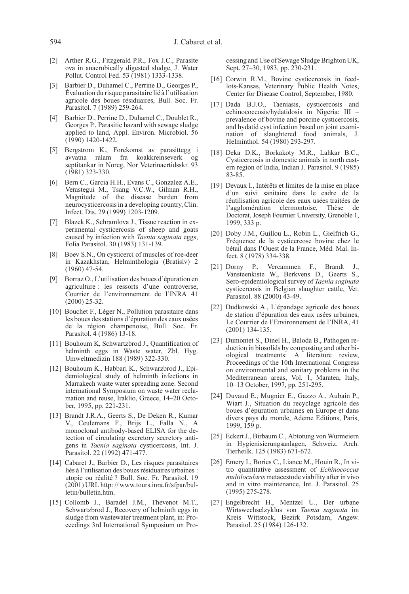- 594 J. Cabaret et al.
- [2] Arther R.G., Fitzgerald P.R., Fox J.C., Parasite ova in anaerobically digested sludge, J. Water Pollut. Control Fed. 53 (1981) 1333-1338.
- [3] Barbier D., Duhamel C., Perrine D., Georges P., Évaluation du risque parasitaire lié à l'utilisation agricole des boues résiduaires, Bull. Soc. Fr. Parasitol. 7 (1989) 259-264.
- [4] Barbier D., Perrine D., Duhamel C., Doublet R., Georges P., Parasitic hazard with sewage sludge applied to land, Appl. Environ. Microbiol. 56 (1990) 1420-1422.
- [5] Bergstrom K., Forekomst av parasittegg i avvatna ralam fra koakkreinseverk septitankar in Noreg, Nor Veterinaertidsskr. 93 (1981) 323-330.
- [6] Bern C., Garcia H.H., Evans C., Gonzalez A.E., Verastegui M., Tsang V.C.W., Gilman R.H., Magnitude of the disease burden from neurocysticercosis in a developing country, Clin. Infect. Dis. 29 (1999) 1203-1209.
- [7] Blazek K., Schramlova J., Tissue reaction in experimental cysticercosis of sheep and goats caused by infection with Taenia saginata eggs, Folia Parasitol. 30 (1983) 131-139.
- [8] Boev S.N., On cysticerci of muscles of roe-deer in Kazakhstan, Helminthologia (Bratislv) 2 (1960) 47-54.
- [9] Borraz O., L'utilisation des boues d'épuration en agriculture : les ressorts d'une controverse, Courrier de l'environnement de l'INRA 41 (2000) 25-32.
- [10] Bouchet F., Léger N., Pollution parasitaire dans les boues des stations d'épuration des eaux usées de la région champenoise, Bull. Soc. Fr. Parasitol. 4 (1986) 13-18.
- [11] Bouhoum K, Schwartzbrod J., Quantification of helminth eggs in Waste water, Zbl. Hyg. Umweltmedizin 188 (1989) 322-330.
- [12] Bouhoum K., Habbari K., Schwarzbrod J., Epidemiological study of helminth infections in Marrakech waste water spreading zone. Second international Symposium on waste water reclamation and reuse, Iraklio, Greece, 14–20 October, 1995, pp. 221-231.
- [13] Brandt J.R.A., Geerts S., De Deken R., Kumar V., Ceulemans F., Brijs L., Falla N., A monoclonal antibody-based ELISA for the detection of circulating excretory secretory antigens in Taenia saginata cysticercosis, Int. J. Parasitol. 22 (1992) 471-477.
- [14] Cabaret J., Barbier D., Les risques parasitaires liés à l'utilisation des boues résiduaires urbaines : utopie ou réalité ? Bull. Soc. Fr. Parasitol. 19 (2001) URL http: // www.tours.inra.fr/sfpar/bulletin/bulletin.htm.
- [15] Collomb J., Baradel J.M., Thevenot M.T., Schwartzbrod J., Recovery of helminth eggs in sludge from wastewater treatment plant, in: Proceedings 3rd International Symposium on Pro-

cessing and Use of Sewage Sludge Brighton UK, Sept. 27–30, 1983, pp. 230-231.

- [16] Corwin R.M., Bovine cysticercosis in feedlots-Kansas, Veterinary Public Health Notes, Center for Disease Control, September, 1980.
- [17] Dada B.J.O., Taeniasis, cysticercosis and echinococcosis/hydatidosis in Nigeria: III – prevalence of bovine and porcine cysticercosis, and hydatid cyst infection based on joint examination of slaughtered food animals, J. Helminthol. 54 (1980) 293-297.
- [18] Deka D.K., Borkakoty M.R., Lahkar B.C., Cysticercosis in domestic animals in north eastern region of India, Indian J. Parasitol. 9 (1985) 83-85.
- [19] Devaux I., Intérêts et limites de la mise en place d'un suivi sanitaire dans le cadre de la réutilisation agricole des eaux usées traitées de l'agglomération clermontoise. Doctorat, Joseph Fournier University, Grenoble 1, 1999, 333 p.
- [20] Doby J.M., Guillou L., Robin L., Gielfrich G., Fréquence de la cysticercose bovine chez le bétail dans l'Ouest de la France, Méd. Mal. Infect. 8 (1978) 334-338.
- [21] Dorny P., Vercammen F., Brandt Vansteenkiste W., Berkvens D., Geerts S., Sero-epidemiological survey of Taenia saginata cysticercosis in Belgian slaughter cattle, Vet. Parasitol. 88 (2000) 43-49.
- [22] Dudkowski A., L'épandage agricole des boues de station d'épuration des eaux usées urbaines, Le Courrier de l'Environnement de l'INRA, 41 (2001) 134-135.
- [23] Dumontet S., Dinel H., Baloda B., Pathogen reduction in biosolids by composting and other biological treatments: A literature review, Proceedings of the 10th International Congress on environmental and sanitary problems in the Mediterranean areas, Vol. 1, Maratea, Italy, 10–13 October, 1997, pp. 251-295.
- [24] Duvaud E., Mugnier E., Gazzo A., Aubain P., Wiart J., Situation du recyclage agricole des boues d'épuration urbaines en Europe et dans divers pays du monde, Ademe Editions, Paris, 1999, 159 p.
- [25] Eckert J., Birbaum C., Abtotung von Wurmeiern in Hygienisierungsanlagen, Schweiz. Arch. Tierheilk. 125 (1983) 671-672.
- [26] Emery I., Bories C., Liance M., Houin R., In vitro quantitative assessment of Echinococcus multilocularis metacestode viability after in vivo and in vitro maintenance, Int. J. Parasitol. 25 (1995) 275-278.
- [27] Engelbrecht H., Mentzel U., Der urbane Wirtswechselzyklus von Taenia saginata im Kreis Wittstock, Bezirk Potsdam, Angew. Parasitol. 25 (1984) 126-132.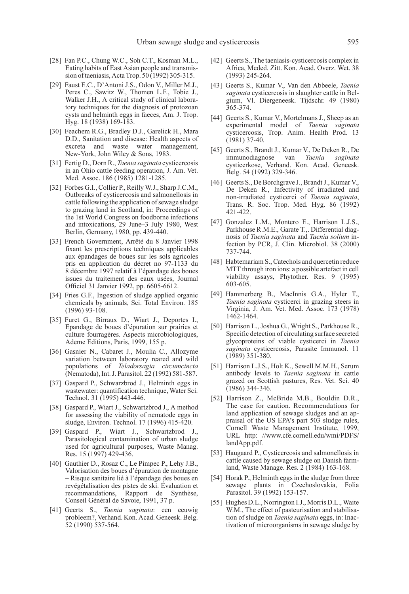- [28] Fan P.C., Chung W.C., Soh C.T., Kosman M.L., Eating habits of East Asian people and transmission of taeniasis, Acta Trop. 50 (1992) 305-315.
- [29] Faust E.C., D'Antoni J.S., Odon V., Miller M.J., Peres C., Sawitz W., Thomen L.F., Tobie J., Walker J.H., A critical study of clinical laboratory techniques for the diagnosis of protozoan cysts and helminth eggs in faeces, Am. J. Trop. Hyg. 18 (1938) 169-183.
- [30] Feachem R.G., Bradley D.J., Garelick H., Mara D.D., Sanitation and disease: Health aspects of excreta and waste water management, New-York, John Wiley & Sons, 1983.
- [31] Fertig D., Dorn R., Taenia saginata cysticercosis in an Ohio cattle feeding operation, J. Am. Vet. Med. Assoc. 186 (1985) 1281-1285.
- [32] Forbes G.I., Collier P., Reilly W.J., Sharp J.C.M., Outbreaks of cysticercosis and salmonellosis in cattle following the application of sewage sludge to grazing land in Scotland, in: Proceedings of the 1st World Congress on foodborne infections and intoxications, 29 June–3 July 1980, West Berlin, Germany, 1980, pp. 439-440.
- [33] French Government, Arrêté du 8 Janvier 1998 fixant les prescriptions techniques applicables aux épandages de boues sur les sols agricoles pris en application du décret no 97-1133 du 8 décembre 1997 relatif à l'épandage des boues issues du traitement des eaux usées, Journal Officiel 31 Janvier 1992, pp. 6605-6612.
- [34] Fries G.F., Ingestion of sludge applied organic chemicals by animals, Sci. Total Environ. 185 (1996) 93-108.
- [35] Furet G., Birraux D., Wiart J., Deportes I., Epandage de boues d'épuration sur prairies et culture fourragères. Aspects microbiologiques, Ademe Editions, Paris, 1999, 155 p.
- [36] Gasnier N., Cabaret J., Moulia C., Allozyme variation between laboratory reared and wild populations of Teladorsagia circumcincta (Nematoda), Int. J. Parasitol. 22 (1992) 581-587.
- [37] Gaspard P., Schwarzbrod J., Helminth eggs in wastewater: quantification technique, Water Sci. Technol. 31 (1995) 443-446.
- [38] Gaspard P., Wiart J., Schwartzbrod J., A method for assessing the viability of nematode eggs in sludge, Environ. Technol. 17 (1996) 415-420.
- [39] Gaspard P., Wiart J., Schwartzbrod J., Parasitological contamination of urban sludge used for agricultural purposes, Waste Manag. Res. 15 (1997) 429-436.
- [40] Gauthier D., Rosaz C., Le Pimpec P., Lehy J.B., Valorisation des boues d'épuration de montagne – Risque sanitaire lié à l'épandage des boues en revégétalisation des pistes de ski. Évaluation et recommandations, Rapport de Synthèse, Conseil Général de Savoie, 1991, 37 p.
- [41] Geerts S., Taenia saginata: een eeuwig probleem?, Verhand. Kon. Acad. Geneesk. Belg. 52 (1990) 537-564.
- [42] Geerts S., The taeniasis-cysticercosis complex in Africa, Meded. Zitt. Kon. Acad. Overz. Wet. 38 (1993) 245-264.
- [43] Geerts S., Kumar V., Van den Abbeele, Taenia saginata cysticercosis in slaughter cattle in Belgium, Vl. Diergeneesk. Tijdschr. 49 (1980) 365-374.
- [44] Geerts S., Kumar V., Mortelmans J., Sheep as an experimental model of Taenia saginata cysticercosis, Trop. Anim. Health Prod. 13 (1981) 37-40.
- [45] Geerts S., Brandt J., Kumar V., De Deken R., De immunodiagnose van Taenia saginata cysticerkose, Verhand. Kon. Acad. Geneesk. Belg. 54 (1992) 329-346.
- [46] Geerts S., De Borchgrave J., Brandt J., Kumar V., De Deken R., Infectivity of irradiated and non-irradiated cysticerci of Taenia saginata, Trans. R. Soc. Trop. Med. Hyg. 86 (1992) 421-422.
- [47] Gonzalez L.M., Montero E., Harrison L.J.S., Parkhouse R.M.E., Garate T.,. Differential diagnosis of Taenia saginata and Taenia solium infection by PCR, J. Clin. Microbiol. 38 (2000) 737-744.
- [48] Habtemariam S., Catechols and quercetin reduce MTT through iron ions: a possible artefact in cell viability assays, Phytother. Res. 9 (1995) 603-605.
- [49] Hammerberg B., MacInnis G.A., Hyler T., Taenia saginata cysticerci in grazing steers in Virginia, J. Am. Vet. Med. Assoc. 173 (1978) 1462-1464.
- [50] Harrison L., Joshua G., Wright S., Parkhouse R., Specific detection of circulating surface secreted glycoproteins of viable cysticerci in Taenia saginata cysticercosis, Parasite Immunol. 11 (1989) 351-380.
- [51] Harrison L.J.S., Holt K., Sewell M.M.H., Serum antibody levels to Taenia saginata in cattle grazed on Scottish pastures, Res. Vet. Sci. 40 (1986) 344-346.
- [52] Harrison Z., McBride M.B., Bouldin D.R., The case for caution. Recommendations for land application of sewage sludges and an appraisal of the US EPA's part 503 sludge rules, Cornell Waste Management Institute, 1999, URL http: //www.cfe.cornell.edu/wmi/PDFS/ landApp.pdf.
- [53] Haugaard P., Cysticercosis and salmonellosis in cattle caused by sewage sludge on Danish farmland, Waste Manage. Res. 2 (1984) 163-168.
- [54] Horak P., Helminth eggs in the sludge from three sewage plants in Czechoslovakia, Folia Parasitol. 39 (1992) 153-157.
- [55] Hughes D.L., Norrington I.J., Morris D.L., Waite W.M., The effect of pasteurisation and stabilisation of sludge on Taenia saginata eggs, in: Inactivation of microorganisms in sewage sludge by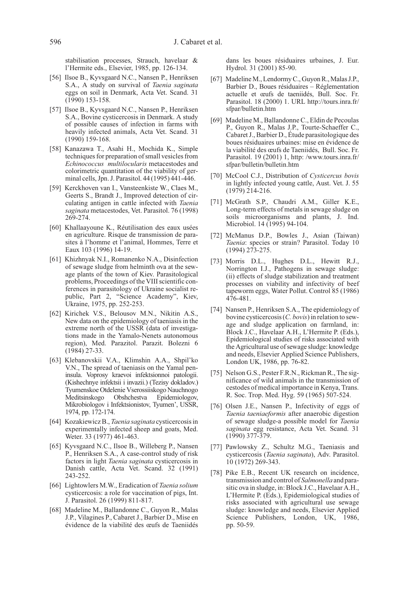stabilisation processes, Strauch, havelaar & l'Hermite eds., Elsevier, 1985, pp. 126-134.

- [56] Ilsoe B., Kyvsgaard N.C., Nansen P., Henriksen S.A., A study on survival of Taenia saginata eggs on soil in Denmark, Acta Vet. Scand. 31 (1990) 153-158.
- [57] Ilsoe B., Kyvsgaard N.C., Nansen P., Henriksen S.A., Bovine cysticercosis in Denmark. A study of possible causes of infection in farms with heavily infected animals, Acta Vet. Scand. 31 (1990) 159-168.
- [58] Kanazawa T., Asahi H., Mochida K., Simple techniques for preparation of small vesicles from Echinococcus multilocularis metacestodes and colorimetric quantitation of the viability of germinal cells, Jpn. J. Parasitol. 44 (1995) 441-446.
- [59] Kerckhoven van I., Vansteenkiste W., Claes M., Geerts S., Brandt J., Improved detection of circulating antigen in cattle infected with Taenia saginata metacestodes, Vet. Parasitol. 76 (1998) 269-274.
- [60] Khallaayoune K., Réutilisation des eaux usées en agriculture. Risque de transmission de parasites à l'homme et l'animal, Hommes, Terre et Eaux 103 (1996) 14-19.
- [61] Khizhnyak N.I., Romanenko N.A., Disinfection of sewage sludge from helminth ova at the sewage plants of the town of Kiev. Parasitological problems, Proceedings of the VIII scientific conferences in parasitology of Ukraine socialist republic, Part 2, "Science Academy", Kiev, Ukraine, 1975, pp. 252-253.
- [62] Kirichek V.S., Belousov M.N., Nikitin A.S., New data on the epidemiology of taeniasis in the extreme north of the USSR (data of investigations made in the Yamalo-Nenets autonomous region), Med. Parazitol. Parazit. Bolezni 6 (1984) 27-33.
- [63] Klebanovskii V.A., Klimshin A.A., Shpil'ko V.N., The spread of taeniasis on the Yamal peninsula. Voprosy kraevoi infektsionnoi patologii. (Kishechnye infektsii i invazii.) (Tezisy dokladov.) Tyumenskoe Otdelenie Vserossiiskogo Nauchnogo Meditsinskogo Obshchestva Epidemiologov, Mikrobiologov i Infektsionistov, Tyumen', USSR, 1974, pp. 172-174.
- [64] Kozakiewicz B., Taenia saginata cysticercosis in experimentally infected sheep and goats, Med. Weter. 33 (1977) 461-463.
- [65] Kyvsgaard N.C., Ilsoe B., Willeberg P., Nansen P., Henriksen S.A., A case-control study of risk factors in light Taenia saginata cysticercosis in Danish cattle, Acta Vet. Scand. 32 (1991) 243-252.
- [66] Lightowlers M.W., Eradication of Taenia solium cysticercosis: a role for vaccination of pigs, Int. J. Parasitol. 26 (1999) 811-817.
- [68] Madeline M., Ballandonne C., Guyon R., Malas J.P., Vilagines P., Cabaret J., Barbier D., Mise en évidence de la viabilité des œufs de Taeniidés

dans les boues résiduaires urbaines, J. Eur. Hydrol. 31 (2001) 85-90.

- [67] Madeline M., Lendormy C., Guyon R., Malas J.P., Barbier D., Boues résiduaires – Réglementation actuelle et œufs de taeniidés, Bull. Soc. Fr. Parasitol. 18 (2000) 1. URL http://tours.inra.fr/ sfpar/bulletin.htm
- [69] Madeline M., Ballandonne C., Eldin de Pecoulas P., Guyon R., Malas J.P., Tourte-Schaeffer C., Cabaret J., Barbier D., Étude parasitologique des boues résiduaires urbaines: mise en évidence de la viabilité des œufs de Taeniidés, Bull. Soc. Fr. Parasitol. 19 (2001) 1, http: /www.tours.inra.fr/ sfpar/bulletin/bulletin.htm
- [70] McCool C.J., Distribution of Cysticercus bovis in lightly infected young cattle, Aust. Vet. J. 55 (1979) 214-216.
- [71] McGrath S.P., Chaudri A.M., Giller K.E., Long-term effects of metals in sewage sludge on soils microorganisms and plants, J. Ind. Microbiol. 14 (1995) 94-104.
- [72] McManus D.P., Bowles J., Asian (Taiwan) Taenia: species or strain? Parasitol. Today 10 (1994) 273-275.
- [73] Morris D.L., Hughes D.L., Hewitt R.J., Norrington I.J., Pathogens in sewage sludge: (ii) effects of sludge stabilization and treatment processes on viability and infectivity of beef tapeworm eggs, Water Pollut. Control 85 (1986) 476-481.
- [74] Nansen P., Henriksen S.A., The epidemiology of bovine cysticercosis (C. bovis) in relation to sewage and sludge application on farmland, in: Block J.C., Havelaar A.H., L'Hermite P. (Eds.), Epidemiological studies of risks associated with the Agricultural use of sewage sludge: knowledge and needs, Elsevier Applied Science Publishers, London UK, 1986, pp. 76-82.
- [75] Nelson G.S., Pester F.R.N., Rickman R., The significance of wild animals in the transmission of cestodes of medical importance in Kenya, Trans. R. Soc. Trop. Med. Hyg. 59 (1965) 507-524.
- [76] Olsen J.E., Nansen P., Infectivity of eggs of Taenia taeniaeformis after anaerobic digestion of sewage sludge-a possible model for Taenia saginata egg resistance, Acta Vet. Scand. 31 (1990) 377-379.
- [77] Pawlowsky Z., Schultz M.G., Taeniasis and cysticercosis (Taenia saginata), Adv. Parasitol. 10 (1972) 269-343.
- [78] Pike E.B., Recent UK research on incidence, transmission and control of Salmonella and parasitic ova in sludge, in: Block J.C., Havelaar A.H., L'Hermite P. (Eds.), Epidemiological studies of risks associated with agricultural use sewage sludge: knowledge and needs, Elsevier Applied Science Publishers, London, UK, 1986, pp. 50-59.